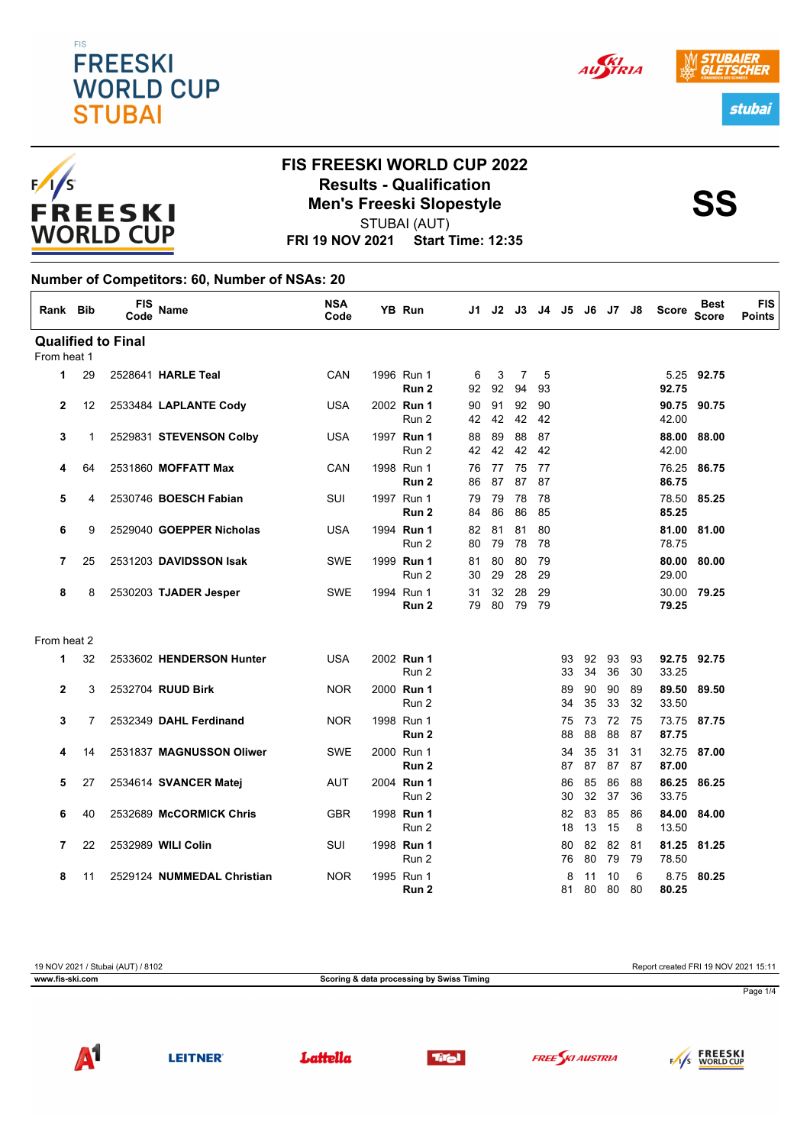









 $F/I/S$ FREESKI **WORLD CUP** 

### **FIS FREESKI WORLD CUP 2022 Results - Qualification<br>
Men's Freeski Slopestyle<br>
SS** STUBAI (AUT)

**FRI 19 NOV 2021 Start Time: 12:35**

#### **Number of Competitors: 60, Number of NSAs: 20**

| Rank Bib       |                | <b>FIS</b><br>Code        | Name                       | <b>NSA</b><br>Code | YB Run                         | J1       |          | J2 J3                |          |          |          | J4 J5 J6 J7 | J8       | <b>Score</b>   | <b>Best</b><br><b>Score</b> | <b>FIS</b><br><b>Points</b> |
|----------------|----------------|---------------------------|----------------------------|--------------------|--------------------------------|----------|----------|----------------------|----------|----------|----------|-------------|----------|----------------|-----------------------------|-----------------------------|
|                |                | <b>Qualified to Final</b> |                            |                    |                                |          |          |                      |          |          |          |             |          |                |                             |                             |
| From heat 1    |                |                           |                            |                    |                                |          |          |                      |          |          |          |             |          |                |                             |                             |
| 1              | 29             |                           | 2528641 HARLE Teal         | CAN                | 1996 Run 1<br>Run 2            | 6<br>92  | 3<br>92  | $\overline{7}$<br>94 | 5<br>93  |          |          |             |          | 92.75          | 5.25 92.75                  |                             |
| 2              | 12             |                           | 2533484 LAPLANTE Cody      | <b>USA</b>         | 2002 Run 1<br>Run 2            | 90<br>42 | 91<br>42 | 92<br>42             | 90<br>42 |          |          |             |          | 42.00          | 90.75 90.75                 |                             |
| 3              | 1              |                           | 2529831 STEVENSON Colby    | <b>USA</b>         | 1997 Run 1<br>Run 2            | 88<br>42 | 89<br>42 | 88<br>42             | 87<br>42 |          |          |             |          | 88.00<br>42.00 | 88.00                       |                             |
| 4              | 64             |                           | 2531860 MOFFATT Max        | CAN                | 1998 Run 1<br>Run <sub>2</sub> | 76<br>86 | 77<br>87 | 75<br>87             | 77<br>87 |          |          |             |          | 86.75          | 76.25 86.75                 |                             |
| 5              | 4              |                           | 2530746 BOESCH Fabian      | SUI                | 1997 Run 1<br>Run <sub>2</sub> | 79<br>84 | 79<br>86 | 78<br>86             | 78<br>85 |          |          |             |          | 78.50<br>85.25 | 85.25                       |                             |
| 6              | 9              |                           | 2529040 GOEPPER Nicholas   | <b>USA</b>         | 1994 Run 1<br>Run 2            | 82<br>80 | 81<br>79 | 81<br>78             | 80<br>78 |          |          |             |          | 78.75          | 81.00 81.00                 |                             |
| $\overline{7}$ | 25             |                           | 2531203 DAVIDSSON Isak     | <b>SWE</b>         | 1999 Run 1<br>Run 2            | 81<br>30 | 80<br>29 | 80<br>28             | 79<br>29 |          |          |             |          | 80.00<br>29.00 | 80.00                       |                             |
| 8              | 8              |                           | 2530203 TJADER Jesper      | <b>SWE</b>         | 1994 Run 1<br>Run <sub>2</sub> | 31<br>79 | 32<br>80 | 28<br>79             | 29<br>79 |          |          |             |          | 79.25          | 30.00 79.25                 |                             |
| From heat 2    |                |                           |                            |                    |                                |          |          |                      |          |          |          |             |          |                |                             |                             |
| 1              | 32             |                           | 2533602 HENDERSON Hunter   | <b>USA</b>         | 2002 Run 1<br>Run 2            |          |          |                      |          | 93<br>33 | 92<br>34 | 93<br>36    | 93<br>30 | 33.25          | 92.75 92.75                 |                             |
| $\mathbf{2}$   | 3              |                           | 2532704 RUUD Birk          | <b>NOR</b>         | 2000 Run 1<br>Run 2            |          |          |                      |          | 89<br>34 | 90<br>35 | 90<br>33    | 89<br>32 | 89.50<br>33.50 | 89.50                       |                             |
| 3              | $\overline{7}$ |                           | 2532349 DAHL Ferdinand     | <b>NOR</b>         | 1998 Run 1<br>Run 2            |          |          |                      |          | 75<br>88 | 73<br>88 | 72<br>88    | 75<br>87 | 87.75          | 73.75 87.75                 |                             |
| 4              | 14             |                           | 2531837 MAGNUSSON Oliwer   | <b>SWE</b>         | 2000 Run 1<br>Run <sub>2</sub> |          |          |                      |          | 34<br>87 | 35<br>87 | 31<br>87    | 31<br>87 | 87.00          | 32.75 87.00                 |                             |
| 5              | 27             |                           | 2534614 SVANCER Matej      | <b>AUT</b>         | 2004 Run 1<br>Run 2            |          |          |                      |          | 86<br>30 | 85<br>32 | 86<br>37    | 88<br>36 | 86.25<br>33.75 | 86.25                       |                             |
| 6              | 40             |                           | 2532689 McCORMICK Chris    | <b>GBR</b>         | 1998 Run 1<br>Run 2            |          |          |                      |          | 82<br>18 | 83<br>13 | 85<br>15    | 86<br>8  | 84.00<br>13.50 | 84.00                       |                             |
| 7              | 22             |                           | 2532989 WILI Colin         | SUI                | 1998 Run 1<br>Run 2            |          |          |                      |          | 80<br>76 | 82<br>80 | 82<br>79    | 81<br>79 | 81.25<br>78.50 | 81.25                       |                             |
| 8              | 11             |                           | 2529124 NUMMEDAL Christian | <b>NOR</b>         | 1995 Run 1<br>Run 2            |          |          |                      |          | 8<br>81  | 11<br>80 | 10<br>80    | 6<br>80  | 8.75<br>80.25  | 80.25                       |                             |

19 NOV 2021 / Stubai (AUT) / 8102 Report created FRI 19 NOV 2021 15:11 **www.fis-ski.com Scoring & data processing by Swiss Timing** Page 1/4



**LEITNER** 

Lattella





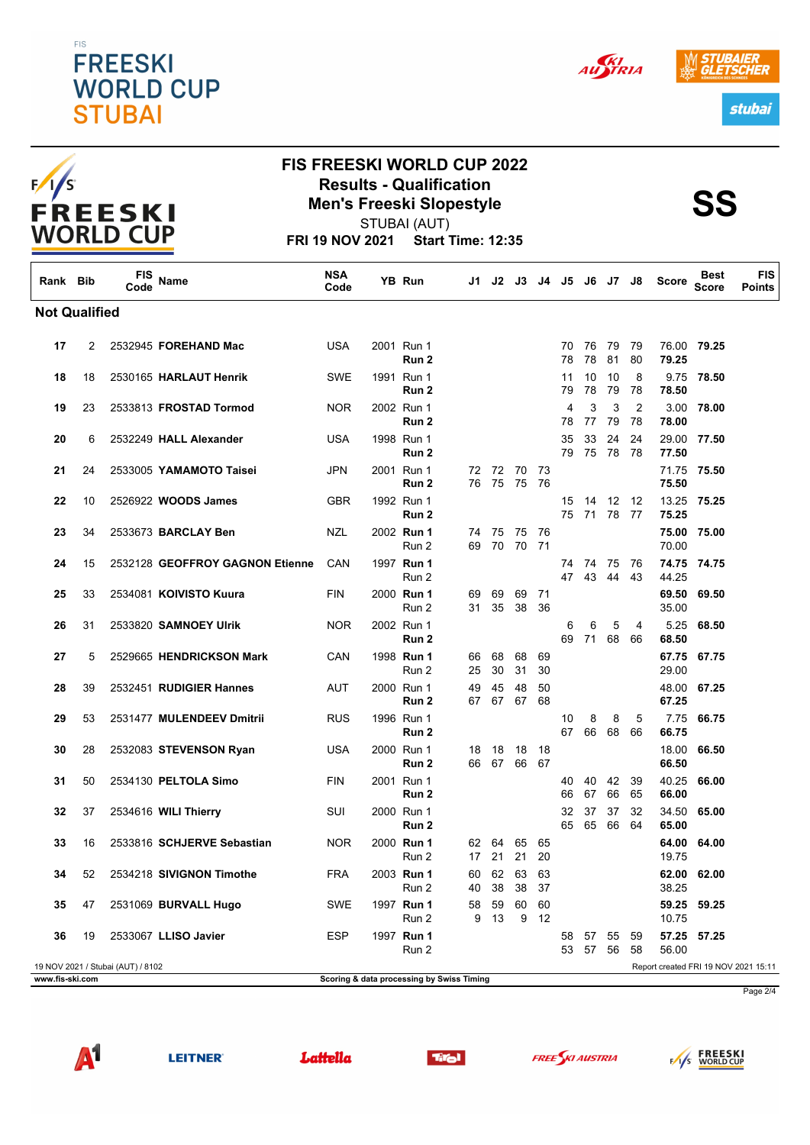### **FIS FREESKI WORLD CUP STUBAI**



### **FIS FREESKI WORLD CUP 2022 Results - Qualification<br>
Men's Freeski Slopestyle<br>
SS**

STUBAI (AUT)

**FRI 19 NOV 2021 Start Time: 12:35**

| Rank Bib             |                                                                           | FIS<br>Code | Name                            | <b>NSA</b><br>Code |  | YB Run              | J1 I                                      | J2             | J3       | J4 J5    |          | J6             | J7          | J8                   | <b>Score</b>   | <b>Best</b><br><b>Score</b> | <b>FIS</b><br>Points |
|----------------------|---------------------------------------------------------------------------|-------------|---------------------------------|--------------------|--|---------------------|-------------------------------------------|----------------|----------|----------|----------|----------------|-------------|----------------------|----------------|-----------------------------|----------------------|
| <b>Not Qualified</b> |                                                                           |             |                                 |                    |  |                     |                                           |                |          |          |          |                |             |                      |                |                             |                      |
| 17                   | 2                                                                         |             | 2532945 FOREHAND Mac            | <b>USA</b>         |  | 2001 Run 1<br>Run 2 |                                           |                |          |          | 70<br>78 | 76<br>78       | -79<br>81   | 79<br>80             | 79.25          | 76.00 79.25                 |                      |
| 18                   | 18                                                                        |             | 2530165 HARLAUT Henrik          | <b>SWE</b>         |  | 1991 Run 1<br>Run 2 |                                           |                |          |          | 11<br>79 | 10<br>78       | 10<br>79    | 8<br>78              | 78.50          | 9.75 78.50                  |                      |
| 19                   | 23                                                                        |             | 2533813 FROSTAD Tormod          | <b>NOR</b>         |  | 2002 Run 1<br>Run 2 |                                           |                |          |          | 4<br>78  | 3<br>77        | 3<br>79     | $\overline{2}$<br>78 | 3.00<br>78.00  | 78.00                       |                      |
| 20                   | 6                                                                         |             | 2532249 HALL Alexander          | <b>USA</b>         |  | 1998 Run 1<br>Run 2 |                                           |                |          |          | 35<br>79 | 33<br>75       | 24<br>78    | 24<br>- 78           | 77.50          | 29.00 77.50                 |                      |
| 21                   | 24                                                                        |             | 2533005 YAMAMOTO Taisei         | <b>JPN</b>         |  | 2001 Run 1<br>Run 2 | 72<br>76                                  | 72<br>75       | 70<br>75 | 73<br>76 |          |                |             |                      | 71.75<br>75.50 | 75.50                       |                      |
| 22                   | 10                                                                        |             | 2526922 WOODS James             | <b>GBR</b>         |  | 1992 Run 1<br>Run 2 |                                           |                |          |          | 15<br>75 | 14             | 12<br>71 78 | -12<br>- 77          | 75.25          | 13.25 75.25                 |                      |
| 23                   | 34                                                                        |             | 2533673 BARCLAY Ben             | <b>NZL</b>         |  | 2002 Run 1<br>Run 2 | 74<br>69                                  | 75<br>70       | 75<br>70 | 76<br>71 |          |                |             |                      | 70.00          | 75.00 75.00                 |                      |
| 24                   | 15                                                                        |             | 2532128 GEOFFROY GAGNON Etienne | CAN                |  | 1997 Run 1<br>Run 2 |                                           |                |          |          | 74<br>47 | 74<br>43       | 75<br>44    | -76<br>43            | 44.25          | 74.75 74.75                 |                      |
| 25                   | 33                                                                        |             | 2534081 KOIVISTO Kuura          | FIN                |  | 2000 Run 1<br>Run 2 | 69<br>31                                  | 69<br>35       | 69<br>38 | 71<br>36 |          |                |             |                      | 69.50<br>35.00 | 69.50                       |                      |
| 26                   | 31                                                                        |             | 2533820 SAMNOEY Ulrik           | <b>NOR</b>         |  | 2002 Run 1<br>Run 2 |                                           |                |          |          | 6<br>69  | 6<br>71        | 5<br>68     | 4<br>66              | 5.25<br>68.50  | 68.50                       |                      |
| 27                   | 5                                                                         |             | 2529665 HENDRICKSON Mark        | CAN                |  | 1998 Run 1<br>Run 2 | 66<br>25                                  | 68<br>30       | 68<br>31 | 69<br>30 |          |                |             |                      | 67.75<br>29.00 | 67.75                       |                      |
| 28                   | 39                                                                        |             | 2532451 RUDIGIER Hannes         | AUT                |  | 2000 Run 1<br>Run 2 | 49<br>67                                  | 45<br>67       | 48<br>67 | 50<br>68 |          |                |             |                      | 67.25          | 48.00 67.25                 |                      |
| 29                   | 53                                                                        |             | 2531477 MULENDEEV Dmitrii       | <b>RUS</b>         |  | 1996 Run 1<br>Run 2 |                                           |                |          |          | 10<br>67 | 8<br>66        | 8<br>68     | 5<br>66              | 7.75<br>66.75  | 66.75                       |                      |
| 30                   | 28                                                                        |             | 2532083 STEVENSON Ryan          | USA                |  | 2000 Run 1<br>Run 2 | 18                                        | 18<br>66 67 66 | 18       | 18<br>67 |          |                |             |                      | 18.00<br>66.50 | 66.50                       |                      |
| 31                   | 50                                                                        |             | 2534130 PELTOLA Simo            | <b>FIN</b>         |  | 2001 Run 1<br>Run 2 |                                           |                |          |          | 40<br>66 | 40<br>67       | 42<br>66    | 39<br>65             | 40.25<br>66.00 | 66.00                       |                      |
| 32                   | 37                                                                        |             | 2534616 WILI Thierry            | SUI                |  | 2000 Run 1<br>Run 2 |                                           |                |          |          | 32<br>65 | 37<br>65       | 37<br>66    | 32<br>64             | 34.50<br>65.00 | 65.00                       |                      |
| 33                   | 16                                                                        |             | 2533816 SCHJERVE Sebastian      | <b>NOR</b>         |  | 2000 Run 1<br>Run 2 | 62<br>17                                  | 64<br>21       | 65<br>21 | 65<br>20 |          |                |             |                      | 64.00<br>19.75 | 64.00                       |                      |
| 34                   | 52                                                                        |             | 2534218 SIVIGNON Timothe        | <b>FRA</b>         |  | 2003 Run 1<br>Run 2 | 60<br>40                                  | 62<br>38       | 63<br>38 | 63<br>37 |          |                |             |                      | 38.25          | 62.00 62.00                 |                      |
| 35                   | 47                                                                        |             | 2531069 BURVALL Hugo            | SWE                |  | 1997 Run 1<br>Run 2 | 58<br>9                                   | 59<br>13       | 60<br>9  | 60<br>12 |          |                |             |                      | 10.75          | 59.25 59.25                 |                      |
| 36                   | 19                                                                        |             | 2533067 LLISO Javier            | <b>ESP</b>         |  | 1997 Run 1<br>Run 2 |                                           |                |          |          | 58<br>53 | 57 55<br>57 56 |             | 59<br>58             | 56.00          | 57.25 57.25                 |                      |
|                      | 19 NOV 2021 / Stubai (AUT) / 8102<br>Report created FRI 19 NOV 2021 15:11 |             |                                 |                    |  |                     |                                           |                |          |          |          |                |             |                      |                |                             |                      |
| www.fis-ski.com      |                                                                           |             |                                 |                    |  |                     | Scoring & data processing by Swiss Timing |                |          |          |          |                |             |                      |                |                             | Page 2/4             |













stubai

AUSTRIA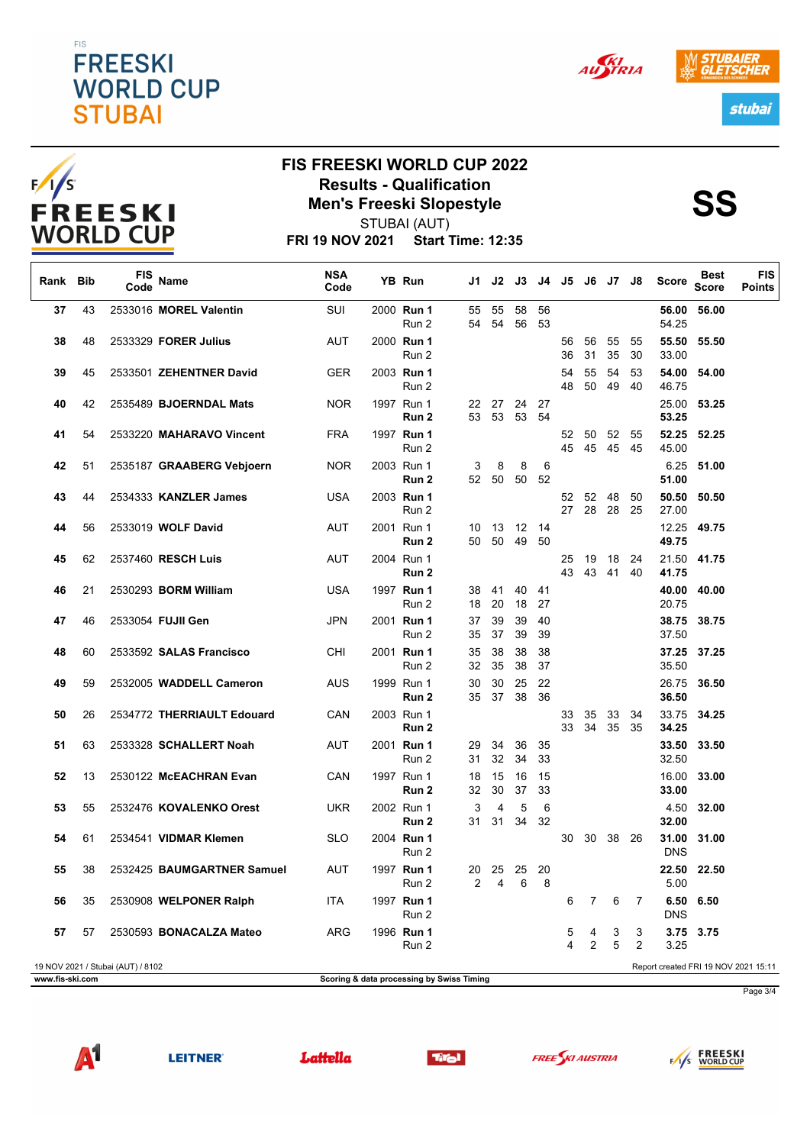#### **FIS FREESKI WORLD CUP STUBAI**







 $F/I/S$ **FREESKI WORLD CUP** 

# **FIS FREESKI WORLD CUP 2022 Results - Qualification<br>
Men's Freeski Slopestyle<br>
SS**

**FRI 19 NOV 2021 Start Time: 12:35** STUBAI (AUT)

| Rank Bib                                                                  |    | <b>FIS</b><br>Code | Name                       | <b>NSA</b><br>Code |  | YB Run              | J1 I                                      | J2            | J3        | J4        | J5       | J6                  | J7 J8       |          | Score               | Best<br><b>Score</b> | <b>FIS</b><br><b>Points</b> |
|---------------------------------------------------------------------------|----|--------------------|----------------------------|--------------------|--|---------------------|-------------------------------------------|---------------|-----------|-----------|----------|---------------------|-------------|----------|---------------------|----------------------|-----------------------------|
| 37                                                                        | 43 |                    | 2533016 MOREL Valentin     | <b>SUI</b>         |  | 2000 Run 1<br>Run 2 | 55<br>54                                  | 55<br>54      | 58<br>56  | 56<br>53  |          |                     |             |          | 56.00<br>54.25      | 56.00                |                             |
| 38                                                                        | 48 |                    | 2533329 FORER Julius       | AUT                |  | 2000 Run 1<br>Run 2 |                                           |               |           |           | 56<br>36 | 56<br>31            | 55<br>35    | 55<br>30 | 55.50<br>33.00      | 55.50                |                             |
| 39                                                                        | 45 |                    | 2533501 ZEHENTNER David    | <b>GER</b>         |  | 2003 Run 1<br>Run 2 |                                           |               |           |           | 54<br>48 | 55<br>50            | 54<br>49    | 53<br>40 | 54.00<br>46.75      | 54.00                |                             |
| 40                                                                        | 42 |                    | 2535489 BJOERNDAL Mats     | <b>NOR</b>         |  | 1997 Run 1<br>Run 2 | 53                                        | 22 27<br>53   | -24<br>53 | 27<br>54  |          |                     |             |          | 25.00<br>53.25      | 53.25                |                             |
| 41                                                                        | 54 |                    | 2533220 MAHARAVO Vincent   | <b>FRA</b>         |  | 1997 Run 1<br>Run 2 |                                           |               |           |           | 52<br>45 | 50<br>45            | 52<br>45 45 | 55       | 52.25<br>45.00      | 52.25                |                             |
| 42                                                                        | 51 |                    | 2535187 GRAABERG Vebjoern  | <b>NOR</b>         |  | 2003 Run 1<br>Run 2 | 3                                         | 8<br>52 50    | 8<br>50   | 6<br>52   |          |                     |             |          | 51.00               | 6.25 51.00           |                             |
| 43                                                                        | 44 |                    | 2534333 KANZLER James      | USA                |  | 2003 Run 1<br>Run 2 |                                           |               |           |           | 52<br>27 | 52<br>28            | 48<br>28    | 50<br>25 | 50.50<br>27.00      | 50.50                |                             |
| 44                                                                        | 56 |                    | 2533019 WOLF David         | AUT                |  | 2001 Run 1<br>Run 2 | 10<br>50                                  | 13<br>50      | -12<br>49 | 14<br>50  |          |                     |             |          | 12.25<br>49.75      | 49.75                |                             |
| 45                                                                        | 62 |                    | 2537460 RESCH Luis         | AUT                |  | 2004 Run 1<br>Run 2 |                                           |               |           |           | 25<br>43 | 19<br>43            | 18<br>-41   | 24<br>40 | 41.75               | 21.50 41.75          |                             |
| 46                                                                        | 21 |                    | 2530293 BORM William       | <b>USA</b>         |  | 1997 Run 1<br>Run 2 | 38<br>18                                  | 41<br>20      | 40<br>18  | 41<br>27  |          |                     |             |          | 40.00<br>20.75      | 40.00                |                             |
| 47                                                                        | 46 |                    | 2533054 FUJII Gen          | JPN                |  | 2001 Run 1<br>Run 2 | 37<br>35                                  | 39<br>37      | 39<br>39  | 40<br>39  |          |                     |             |          | 38.75<br>37.50      | 38.75                |                             |
| 48                                                                        | 60 |                    | 2533592 SALAS Francisco    | CHI                |  | 2001 Run 1<br>Run 2 | 35<br>32                                  | 38<br>35      | 38<br>38  | 38<br>37  |          |                     |             |          | 37.25<br>35.50      | 37.25                |                             |
| 49                                                                        | 59 |                    | 2532005 WADDELL Cameron    | AUS                |  | 1999 Run 1<br>Run 2 | 30<br>35                                  | 30<br>37      | 25<br>38  | 22<br>36  |          |                     |             |          | 26.75<br>36.50      | 36.50                |                             |
| 50                                                                        | 26 |                    | 2534772 THERRIAULT Edouard | CAN                |  | 2003 Run 1<br>Run 2 |                                           |               |           |           | 33<br>33 | 35<br>34            | 33<br>35    | 34<br>35 | 33.75<br>34.25      | 34.25                |                             |
| 51                                                                        | 63 |                    | 2533328 SCHALLERT Noah     | AUT                |  | 2001 Run 1<br>Run 2 | 29<br>31                                  | 34<br>32      | 36<br>34  | 35<br>33  |          |                     |             |          | 33.50<br>32.50      | 33.50                |                             |
| 52                                                                        | 13 |                    | 2530122 McEACHRAN Evan     | CAN                |  | 1997 Run 1<br>Run 2 | 18<br>32                                  | 15<br>30      | 16<br>37  | 15<br>33  |          |                     |             |          | 16.00<br>33.00      | 33.00                |                             |
| 53                                                                        | 55 |                    | 2532476 KOVALENKO Orest    | UKR                |  | 2002 Run 1<br>Run 2 | 3<br>31                                   | 4<br>31       | 5<br>34   | 6<br>32   |          |                     |             |          | 4.50<br>32.00       | 32.00                |                             |
| 54                                                                        | 61 |                    | 2534541 VIDMAR Klemen      | <b>SLO</b>         |  | 2004 Run 1<br>Run 2 |                                           |               |           |           | 30       | 30                  | 38          | 26       | 31.00<br><b>DNS</b> | 31.00                |                             |
| 55                                                                        | 38 |                    | 2532425 BAUMGARTNER Samuel | AUT                |  | 1997 Run 1<br>Run 2 | $\mathbf{Z}$                              | 20 25 25<br>4 | 6         | - 20<br>8 |          |                     |             |          | 5.00                | 22.50 22.50          |                             |
| 56                                                                        | 35 |                    | 2530908 WELPONER Ralph     | ITA                |  | 1997 Run 1<br>Run 2 |                                           |               |           |           | 6        | 7                   | 6           | 7        | <b>DNS</b>          | 6.50 6.50            |                             |
| 57                                                                        | 57 |                    | 2530593 BONACALZA Mateo    | ARG                |  | 1996 Run 1<br>Run 2 |                                           |               |           |           | 5<br>4   | 4<br>$\overline{2}$ | 3<br>5      | 3<br>2   | 3.25                | 3.75 3.75            |                             |
| 19 NOV 2021 / Stubai (AUT) / 8102<br>Report created FRI 19 NOV 2021 15:11 |    |                    |                            |                    |  |                     |                                           |               |           |           |          |                     |             |          |                     |                      |                             |
| www.fis-ski.com                                                           |    |                    |                            |                    |  |                     | Scoring & data processing by Swiss Timing |               |           |           |          |                     |             |          |                     |                      | Page 3/4                    |
|                                                                           |    |                    |                            |                    |  |                     |                                           |               |           |           |          |                     |             |          |                     |                      |                             |



Lattella





FAS FREESKI